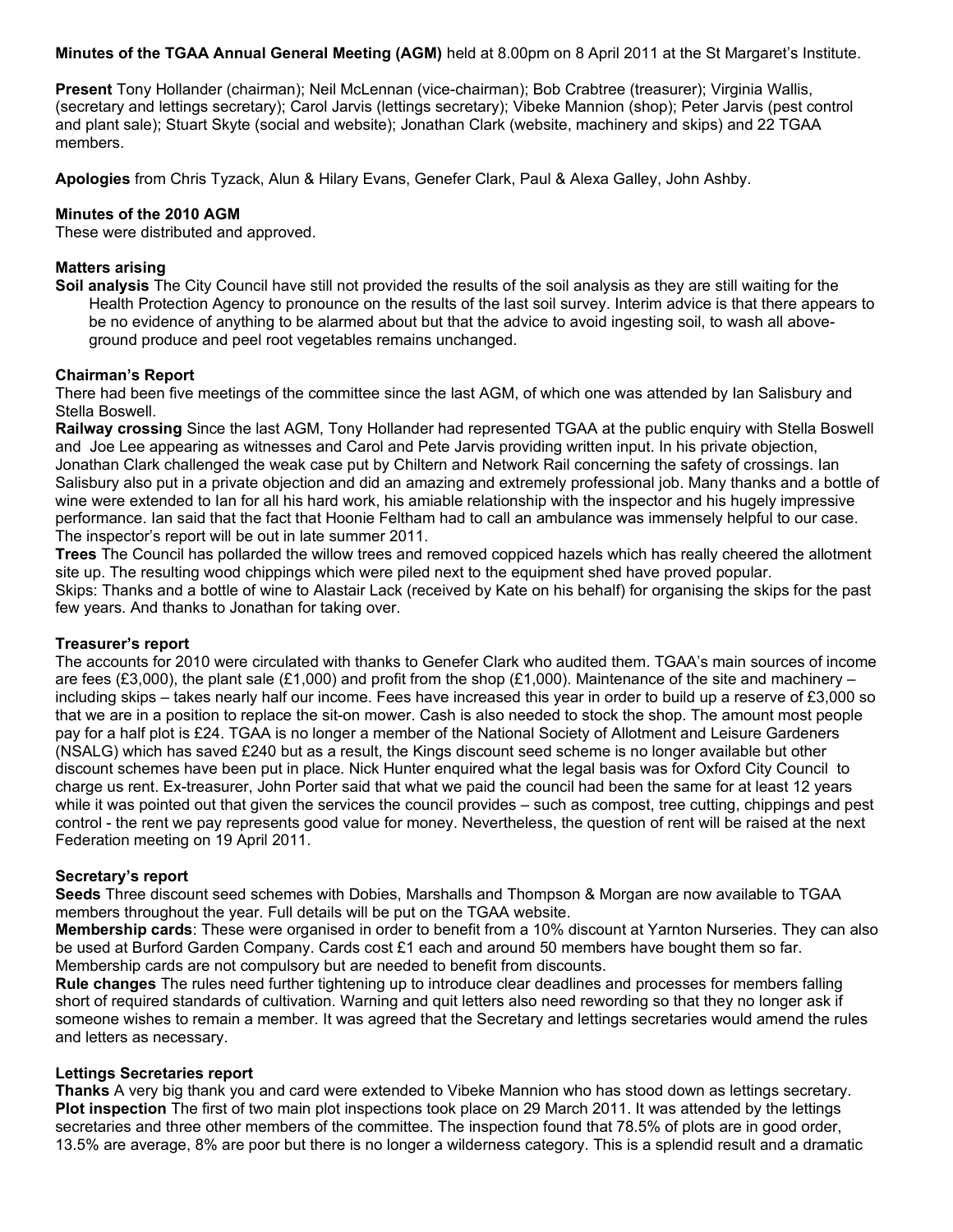**Minutes of the TGAA Annual General Meeting (AGM)** held at 8.00pm on 8 April 2011 at the St Margaret's Institute.

**Present** Tony Hollander (chairman); Neil McLennan (vice-chairman); Bob Crabtree (treasurer); Virginia Wallis, (secretary and lettings secretary); Carol Jarvis (lettings secretary); Vibeke Mannion (shop); Peter Jarvis (pest control and plant sale); Stuart Skyte (social and website); Jonathan Clark (website, machinery and skips) and 22 TGAA members.

**Apologies** from Chris Tyzack, Alun & Hilary Evans, Genefer Clark, Paul & Alexa Galley, John Ashby.

# **Minutes of the 2010 AGM**

These were distributed and approved.

## **Matters arising**

**Soil analysis** The City Council have still not provided the results of the soil analysis as they are still waiting for the Health Protection Agency to pronounce on the results of the last soil survey. Interim advice is that there appears to be no evidence of anything to be alarmed about but that the advice to avoid ingesting soil, to wash all aboveground produce and peel root vegetables remains unchanged.

## **Chairman's Report**

There had been five meetings of the committee since the last AGM, of which one was attended by Ian Salisbury and Stella Boswell.

**Railway crossing** Since the last AGM, Tony Hollander had represented TGAA at the public enquiry with Stella Boswell and Joe Lee appearing as witnesses and Carol and Pete Jarvis providing written input. In his private objection, Jonathan Clark challenged the weak case put by Chiltern and Network Rail concerning the safety of crossings. Ian Salisbury also put in a private objection and did an amazing and extremely professional job. Many thanks and a bottle of wine were extended to Ian for all his hard work, his amiable relationship with the inspector and his hugely impressive performance. Ian said that the fact that Hoonie Feltham had to call an ambulance was immensely helpful to our case. The inspector's report will be out in late summer 2011.

**Trees** The Council has pollarded the willow trees and removed coppiced hazels which has really cheered the allotment site up. The resulting wood chippings which were piled next to the equipment shed have proved popular. Skips: Thanks and a bottle of wine to Alastair Lack (received by Kate on his behalf) for organising the skips for the past few years. And thanks to Jonathan for taking over.

## **Treasurer's report**

The accounts for 2010 were circulated with thanks to Genefer Clark who audited them. TGAA's main sources of income are fees (£3,000), the plant sale (£1,000) and profit from the shop (£1,000). Maintenance of the site and machinery – including skips – takes nearly half our income. Fees have increased this year in order to build up a reserve of £3,000 so that we are in a position to replace the sit-on mower. Cash is also needed to stock the shop. The amount most people pay for a half plot is £24. TGAA is no longer a member of the National Society of Allotment and Leisure Gardeners (NSALG) which has saved £240 but as a result, the Kings discount seed scheme is no longer available but other discount schemes have been put in place. Nick Hunter enquired what the legal basis was for Oxford City Council to charge us rent. Ex-treasurer, John Porter said that what we paid the council had been the same for at least 12 years while it was pointed out that given the services the council provides – such as compost, tree cutting, chippings and pest control - the rent we pay represents good value for money. Nevertheless, the question of rent will be raised at the next Federation meeting on 19 April 2011.

## **Secretary's report**

**Seeds** Three discount seed schemes with Dobies, Marshalls and Thompson & Morgan are now available to TGAA members throughout the year. Full details will be put on the TGAA website.

**Membership cards**: These were organised in order to benefit from a 10% discount at Yarnton Nurseries. They can also be used at Burford Garden Company. Cards cost £1 each and around 50 members have bought them so far. Membership cards are not compulsory but are needed to benefit from discounts.

**Rule changes** The rules need further tightening up to introduce clear deadlines and processes for members falling short of required standards of cultivation. Warning and quit letters also need rewording so that they no longer ask if someone wishes to remain a member. It was agreed that the Secretary and lettings secretaries would amend the rules and letters as necessary.

## **Lettings Secretaries report**

**Thanks** A very big thank you and card were extended to Vibeke Mannion who has stood down as lettings secretary. **Plot inspection** The first of two main plot inspections took place on 29 March 2011. It was attended by the lettings secretaries and three other members of the committee. The inspection found that 78.5% of plots are in good order, 13.5% are average, 8% are poor but there is no longer a wilderness category. This is a splendid result and a dramatic